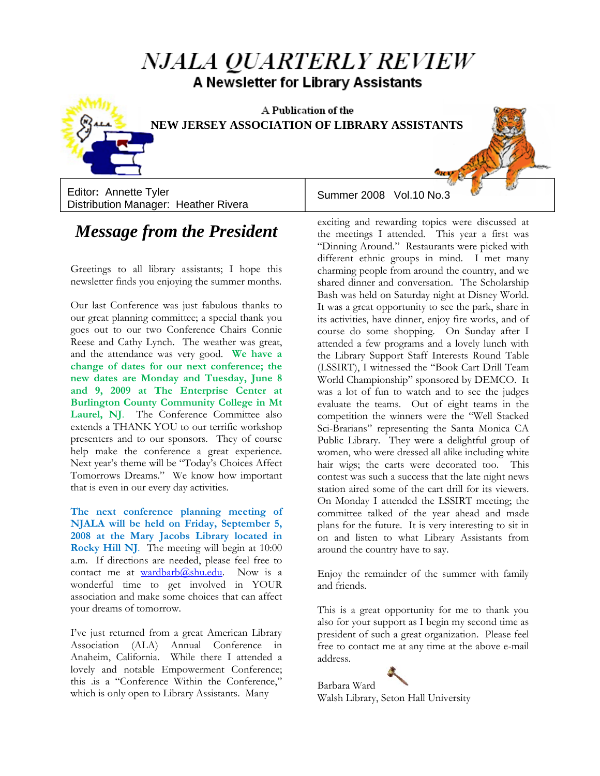# *NJALA QUARTERLY REVIEW* A Newsletter for Library Assistants



A Publication of the **NEW JERSEY ASSOCIATION OF LIBRARY ASSISTANTS**

Editor: Annette Tyler **in the Summer 2008** Vol.10 No.3 Distribution Manager: Heather Rivera

## *Message from the President*

Greetings to all library assistants; I hope this newsletter finds you enjoying the summer months.

Our last Conference was just fabulous thanks to our great planning committee; a special thank you goes out to our two Conference Chairs Connie Reese and Cathy Lynch. The weather was great, and the attendance was very good. **We have a change of dates for our next conference; the new dates are Monday and Tuesday, June 8 and 9, 2009 at The Enterprise Center at Burlington County Community College in Mt**  Laurel, NJ. The Conference Committee also extends a THANK YOU to our terrific workshop presenters and to our sponsors. They of course help make the conference a great experience. Next year's theme will be "Today's Choices Affect Tomorrows Dreams." We know how important that is even in our every day activities.

**The next conference planning meeting of NJALA will be held on Friday, September 5, 2008 at the Mary Jacobs Library located in Rocky Hill NJ**. The meeting will begin at 10:00 a.m. If directions are needed, please feel free to contact me at wardbarb $@s$ hu.edu. Now is a wonderful time to get involved in YOUR association and make some choices that can affect your dreams of tomorrow.

I've just returned from a great American Library Association (ALA) Annual Conference in Anaheim, California. While there I attended a lovely and notable Empowerment Conference; this .is a "Conference Within the Conference," which is only open to Library Assistants. Many

exciting and rewarding topics were discussed at the meetings I attended. This year a first was "Dinning Around." Restaurants were picked with different ethnic groups in mind. I met many charming people from around the country, and we shared dinner and conversation. The Scholarship Bash was held on Saturday night at Disney World. It was a great opportunity to see the park, share in its activities, have dinner, enjoy fire works, and of course do some shopping. On Sunday after I attended a few programs and a lovely lunch with the Library Support Staff Interests Round Table (LSSIRT), I witnessed the "Book Cart Drill Team World Championship" sponsored by DEMCO. It was a lot of fun to watch and to see the judges evaluate the teams. Out of eight teams in the competition the winners were the "Well Stacked Sci-Brarians" representing the Santa Monica CA Public Library. They were a delightful group of women, who were dressed all alike including white hair wigs; the carts were decorated too. This contest was such a success that the late night news station aired some of the cart drill for its viewers. On Monday I attended the LSSIRT meeting; the committee talked of the year ahead and made plans for the future. It is very interesting to sit in on and listen to what Library Assistants from around the country have to say.

Enjoy the remainder of the summer with family and friends.

This is a great opportunity for me to thank you also for your support as I begin my second time as president of such a great organization. Please feel free to contact me at any time at the above e-mail address.

Barbara Ward Walsh Library, Seton Hall University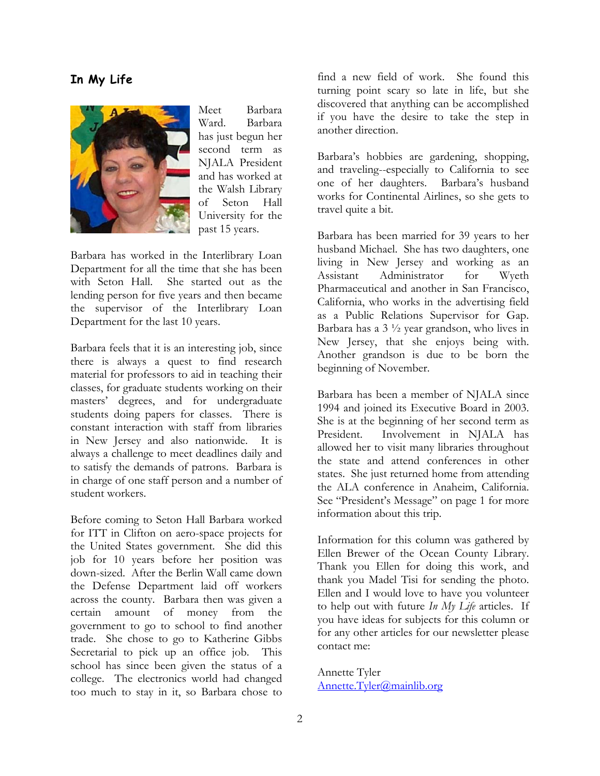## **In My Life**



Meet Barbara Ward. Barbara has just begun her second term as NJALA President and has worked at the Walsh Library of Seton Hall University for the past 15 years.

Barbara has worked in the Interlibrary Loan Department for all the time that she has been with Seton Hall. She started out as the lending person for five years and then became the supervisor of the Interlibrary Loan Department for the last 10 years.

Barbara feels that it is an interesting job, since there is always a quest to find research material for professors to aid in teaching their classes, for graduate students working on their masters' degrees, and for undergraduate students doing papers for classes. There is constant interaction with staff from libraries in New Jersey and also nationwide. It is always a challenge to meet deadlines daily and to satisfy the demands of patrons. Barbara is in charge of one staff person and a number of student workers.

Before coming to Seton Hall Barbara worked for ITT in Clifton on aero-space projects for the United States government. She did this job for 10 years before her position was down-sized. After the Berlin Wall came down the Defense Department laid off workers across the county. Barbara then was given a certain amount of money from the government to go to school to find another trade. She chose to go to Katherine Gibbs Secretarial to pick up an office job. This school has since been given the status of a college. The electronics world had changed too much to stay in it, so Barbara chose to find a new field of work. She found this turning point scary so late in life, but she discovered that anything can be accomplished if you have the desire to take the step in another direction.

Barbara's hobbies are gardening, shopping, and traveling--especially to California to see one of her daughters. Barbara's husband works for Continental Airlines, so she gets to travel quite a bit.

Barbara has been married for 39 years to her husband Michael. She has two daughters, one living in New Jersey and working as an Assistant Administrator for Wyeth Pharmaceutical and another in San Francisco, California, who works in the advertising field as a Public Relations Supervisor for Gap. Barbara has a  $3\frac{1}{2}$  year grandson, who lives in New Jersey, that she enjoys being with. Another grandson is due to be born the beginning of November.

Barbara has been a member of NJALA since 1994 and joined its Executive Board in 2003. She is at the beginning of her second term as President. Involvement in NJALA has allowed her to visit many libraries throughout the state and attend conferences in other states. She just returned home from attending the ALA conference in Anaheim, California. See "President's Message" on page 1 for more information about this trip.

Information for this column was gathered by Ellen Brewer of the Ocean County Library. Thank you Ellen for doing this work, and thank you Madel Tisi for sending the photo. Ellen and I would love to have you volunteer to help out with future *In My Life* articles. If you have ideas for subjects for this column or for any other articles for our newsletter please contact me:

Annette Tyler Annette.Tyler@mainlib.org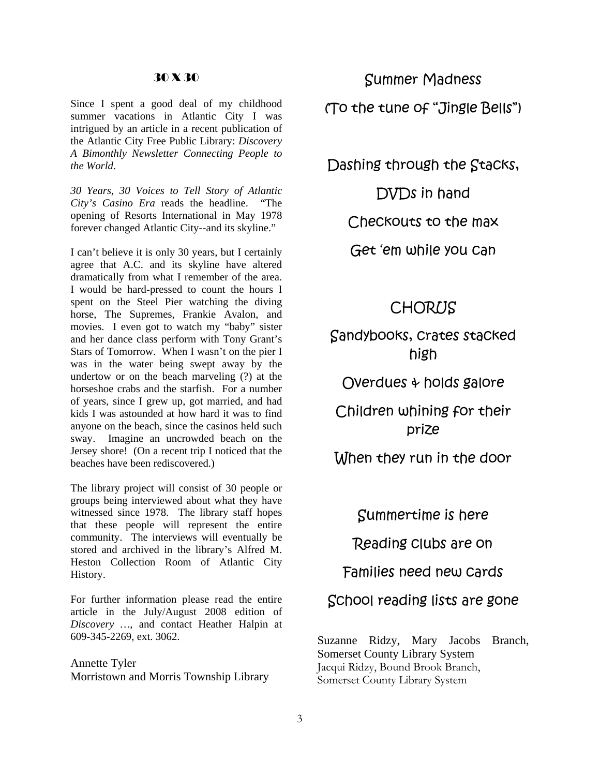#### 30 X 30

Since I spent a good deal of my childhood summer vacations in Atlantic City I was intrigued by an article in a re cent publication of the Atlantic City Free Public Library: *Discovery A Bimonthly Newsletter Co nnecting People to the World*.

*30 Years, 30 Voices to Tel l Story of Atlantic City's Casino Era* reads th e headline. "The opening of Resorts Internati onal in May 1978 forever changed Atlantic City--and its skyline."

movies. I even got to watch my "baby" sister I can't believe it is only 30 years, but I certainly agree that A.C. and its skyline have altered dramatically from what I remember of the area. I would be hard-pressed to count the hours I spent on the Steel Pier watching the diving horse, The Supremes, Frankie Avalon, and and her dance class perform with Tony Grant's Stars of Tomorrow. When I wasn't on the pier I was in the water being swept away by the undertow or on the beach marveling (?) at the horseshoe crabs and the starfish. For a number of years, since I grew up, got married, and had kids I was astounded at how hard it was to find anyone on the beach, since the casinos held such sway. Imagine an uncrowded beach on the Jersey shore! (On a recent trip I noticed that the beaches have been rediscovered.)

groups being interviewed about what they have The library project will consist of 30 people or witnessed since 1978. The library staff hopes that these people will represent the entire community. The interviews will eventually be stored and archived in the library's Alfred M. Heston Collection Room of Atlantic City History.

For further information please read the entire article in the July/August 2008 edition of *Discovery …*, and contact Heather Halpin at 609-345-2269, ext. 3062.

Annette Tyler Morristown and Morris Township Library

Summer Madness (To the tune of "Jingle Bells")

Dashing through the Stacks,

Checkouts to the max DVDs in hand

Get 'em while you can

## **CHORUS**

Sandybooks, crates stacked high

Overdues & holds galore

Children whining for their prize

When they run in the door

Summertime is here

Reading clubs are on

Families need new cards

School reading lists are gone

Jacqui Ridzy, Bound Brook Branch, Somerset County Library System Suzanne Ridzy, Mary Jacobs Branch, Somerset County Library System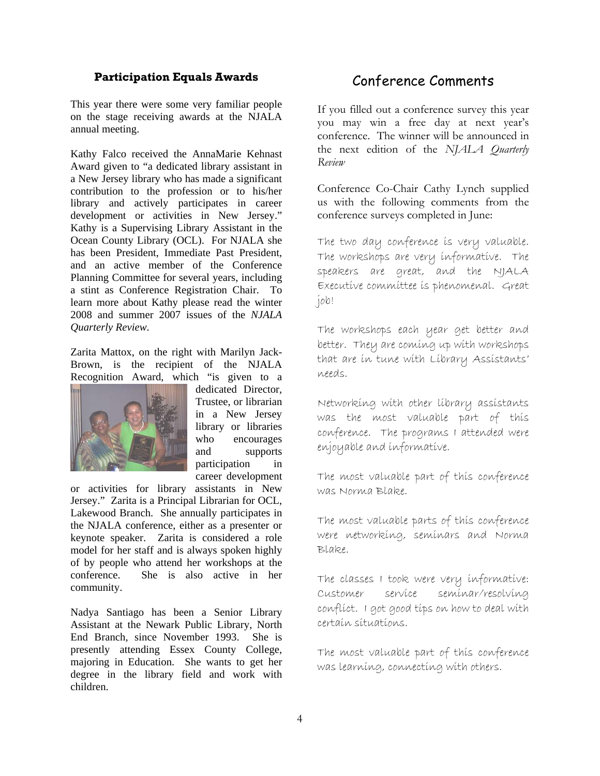#### **Participation Equals Awards**

This year there were some very familiar people on the stage receiving awards at the NJALA annual meeting.

Award given to "a dedicated library assistant in a New Jersey library who has made a significant Ocean County Library (OCL). For NJALA she Kathy Falco received the AnnaMarie Kehnast contribution to the profession or to his/her library and actively participates in career development or activities in New Jersey." Kathy is a Supervising Library Assistant in the has been President, Immediate Past President, and an active member of the Conference Planning Committee for several years, including a stint as Conference Registration Chair. To learn more about Kathy please read the winter 2008 and summer 2007 issues of the *NJALA Quarterly Review*.

Zarita Mattox, on the right with Marilyn Jack-Brown, is the recipient of the NJALA Recognition Award, which "is given to a



participation in career development dedicated Director, Trustee, or librarian in a New Jersey library or libraries who encourages and supports

. She is also active in her community. or activities for library assistants in New Jersey." Zarita is a Principal Librarian for OCL, Lakewood Branch. She annually participates in the NJALA conference, either as a presenter or keynote speaker. Zarita is considered a role model for her staff and is always spoken highly of by people who attend her workshops at the conference

End Branch, since November 1993. She is presently attending Essex County College, majoring in Education. She wants to get her degree in the library field and work with Nadya Santiago has been a Senior Library Assistant at the Newark Public Library, North children.

## Conference Comments

If you filled out a conference survey this year you may win a free day at next year's conference. The winner will be announced in the next edition of the *NJALA Quarterly R eview*

Conference Co-Chair Cathy Lynch supplied us with the following comments from the confer ence surveys completed in June:

The two day conference is very valuable. The workshops are very informative. The speakers are great, and the NJALA Executive committee is phenomenal. Great job!

The workshops each year get better and better. They are coming up with workshops that are ín tune wíth Líbrary Assístants' need s.

Networking with other library assistants was the most valuable part of this conference. The programs 1 attended were enjoyab le and informative.

The most valuable part of this conference was Norma Blake.

The most valuable parts of this conference were networking, seminars and Norma Blake.

The classes I took were very informative: Customer co nflict. I got good tips on how to deal with certain situations. service seminar/resolving

The most valuable part of this conference was learníng, connectíng wíth others.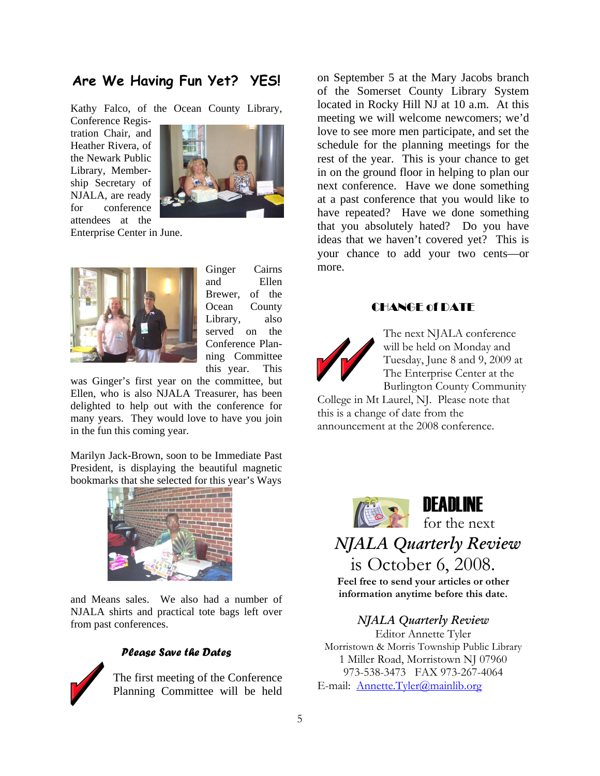## **Are We Having Fun Yet? YES!**

Kathy Falco, of the Ocean County Library,

tration Chair, and Conference Regis-Heather Rivera, of the Newark Public Library, Membership Secretary of NJALA, are ready for conference attendees at the



Enterprise Center in June.



served on the Ginger Cairns and Ellen Brewer, of the Ocean County Library, also Conference Planning Committee this year. This

delighted to help out with the conference for many years. They would lo ve to have you join in the fun this coming year. was Ginger's first year on the committee, but Ellen, who is also NJALA Treasurer, has been

Marilyn Jack-Brown, soon to be Immediate Past President, is displaying the beautiful magnetic bookmarks that she selected for this year's Ways



and Means sales. We also had a number of NJALA shirts and practical tote bags left over from past conferences.



#### *Please Save the Dates*

Planning Committee will be held The first meeting of the Conference

on September 5 at the Mary Jacobs branch of the Somerset County Library System in on the ground floor in helping to plan our have repeated? Have we done something that you absolutely hated? Do you have located in Rocky Hill NJ at 10 a.m. At this meeting we will welcome newcomers; we'd love to see more men participate, and set the schedule for the planning meetings for the rest of the year. This is your chance to get next conference. Have we done something at a past conference that you would like to ideas that we haven't covered yet? This is your chance to add your two cents—or more.

## CHANGE of DATE



The Enterprise Center at the Burlington County Community The next NJALA conference will be held on Monday and Tuesday, June 8 and 9, 2009 at

College in Mt Laurel, NJ. Please note that this is a change of date from the announcement at the 2008 conference.



is October 6, 2008.  *NJALA Quarterly Review*

**Feel free to send your articles or other information anytime before this date.** 

## *arterly Review NJALA Qu*

E-mail: Annette.Tyler@mainlib.org Editor Annette Tyler Morristown & Morris Township Public Library 1 Miller Road, Morristown NJ 07960 973-538-3473 FAX 973-267-4064